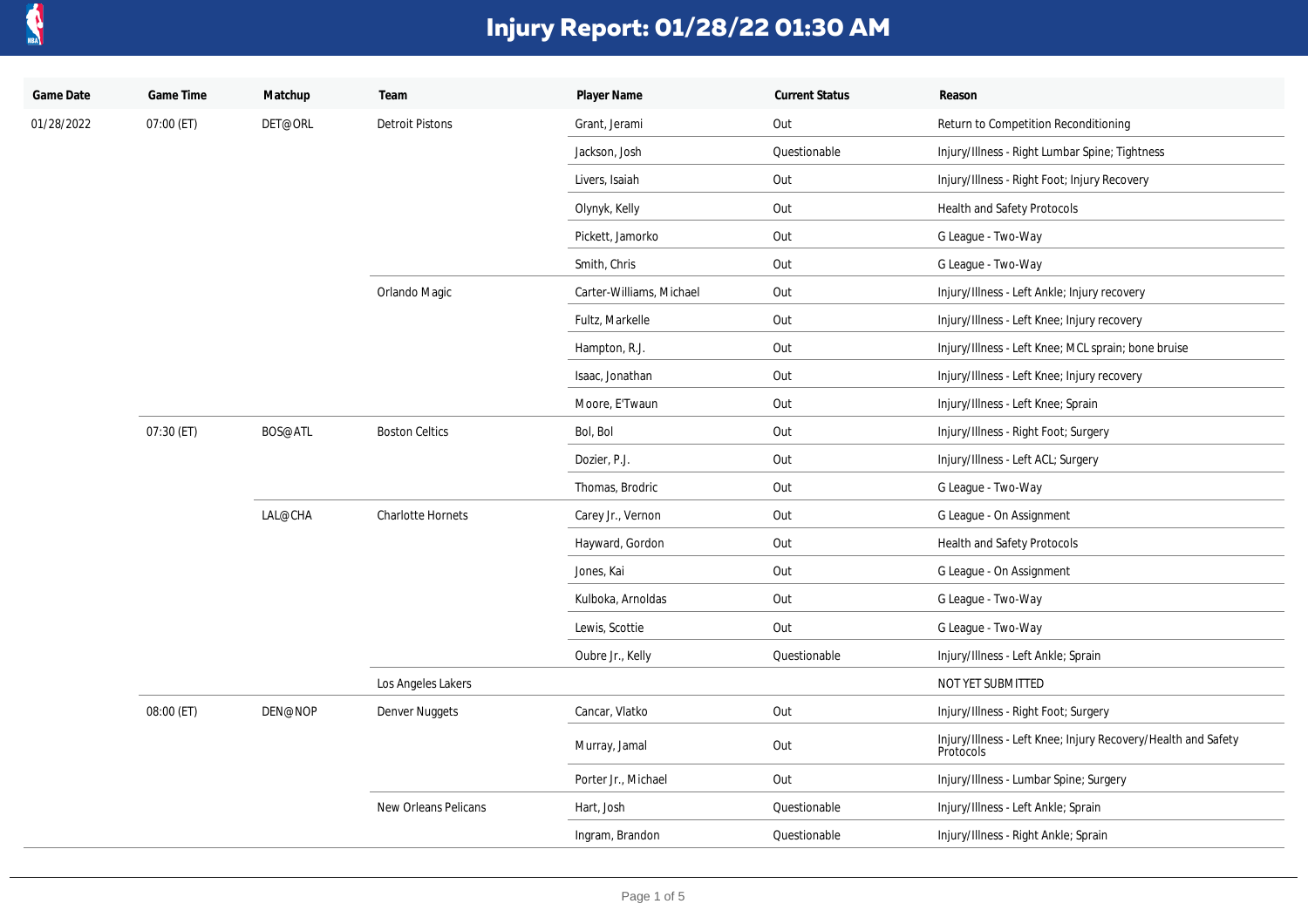

| Game Date  | Game Time  | Matchup | Team                     | Player Name              | <b>Current Status</b> | Reason                                                                     |
|------------|------------|---------|--------------------------|--------------------------|-----------------------|----------------------------------------------------------------------------|
| 01/28/2022 | 07:00 (ET) | DET@ORL | <b>Detroit Pistons</b>   | Grant, Jerami            | Out                   | Return to Competition Reconditioning                                       |
|            |            |         |                          | Jackson, Josh            | Questionable          | Injury/Illness - Right Lumbar Spine; Tightness                             |
|            |            |         |                          | Livers, Isaiah           | Out                   | Injury/Illness - Right Foot; Injury Recovery                               |
|            |            |         |                          | Olynyk, Kelly            | Out                   | Health and Safety Protocols                                                |
|            |            |         |                          | Pickett, Jamorko         | Out                   | G League - Two-Way                                                         |
|            |            |         |                          | Smith, Chris             | Out                   | G League - Two-Way                                                         |
|            |            |         | Orlando Magic            | Carter-Williams, Michael | Out                   | Injury/Illness - Left Ankle; Injury recovery                               |
|            |            |         |                          | Fultz, Markelle          | Out                   | Injury/Illness - Left Knee; Injury recovery                                |
|            |            |         |                          | Hampton, R.J.            | Out                   | Injury/Illness - Left Knee; MCL sprain; bone bruise                        |
|            |            |         |                          | Isaac, Jonathan          | Out                   | Injury/Illness - Left Knee; Injury recovery                                |
|            |            |         |                          | Moore, E'Twaun           | Out                   | Injury/Illness - Left Knee; Sprain                                         |
|            | 07:30 (ET) | BOS@ATL | <b>Boston Celtics</b>    | Bol, Bol                 | Out                   | Injury/Illness - Right Foot; Surgery                                       |
|            |            |         |                          | Dozier, P.J.             | Out                   | Injury/Illness - Left ACL; Surgery                                         |
|            |            |         |                          | Thomas, Brodric          | Out                   | G League - Two-Way                                                         |
|            |            | LAL@CHA | <b>Charlotte Hornets</b> | Carey Jr., Vernon        | Out                   | G League - On Assignment                                                   |
|            |            |         |                          | Hayward, Gordon          | Out                   | Health and Safety Protocols                                                |
|            |            |         |                          | Jones, Kai               | Out                   | G League - On Assignment                                                   |
|            |            |         |                          | Kulboka, Arnoldas        | Out                   | G League - Two-Way                                                         |
|            |            |         |                          | Lewis, Scottie           | Out                   | G League - Two-Way                                                         |
|            |            |         |                          | Oubre Jr., Kelly         | Questionable          | Injury/Illness - Left Ankle; Sprain                                        |
|            |            |         | Los Angeles Lakers       |                          |                       | NOT YET SUBMITTED                                                          |
|            | 08:00 (ET) | DEN@NOP | Denver Nuggets           | Cancar, Vlatko           | Out                   | Injury/Illness - Right Foot; Surgery                                       |
|            |            |         |                          | Murray, Jamal            | Out                   | Injury/Illness - Left Knee; Injury Recovery/Health and Safety<br>Protocols |
|            |            |         |                          | Porter Jr., Michael      | Out                   | Injury/Illness - Lumbar Spine; Surgery                                     |
|            |            |         | New Orleans Pelicans     | Hart, Josh               | Questionable          | Injury/Illness - Left Ankle; Sprain                                        |
|            |            |         |                          | Ingram, Brandon          | Questionable          | Injury/Illness - Right Ankle; Sprain                                       |
|            |            |         |                          |                          |                       |                                                                            |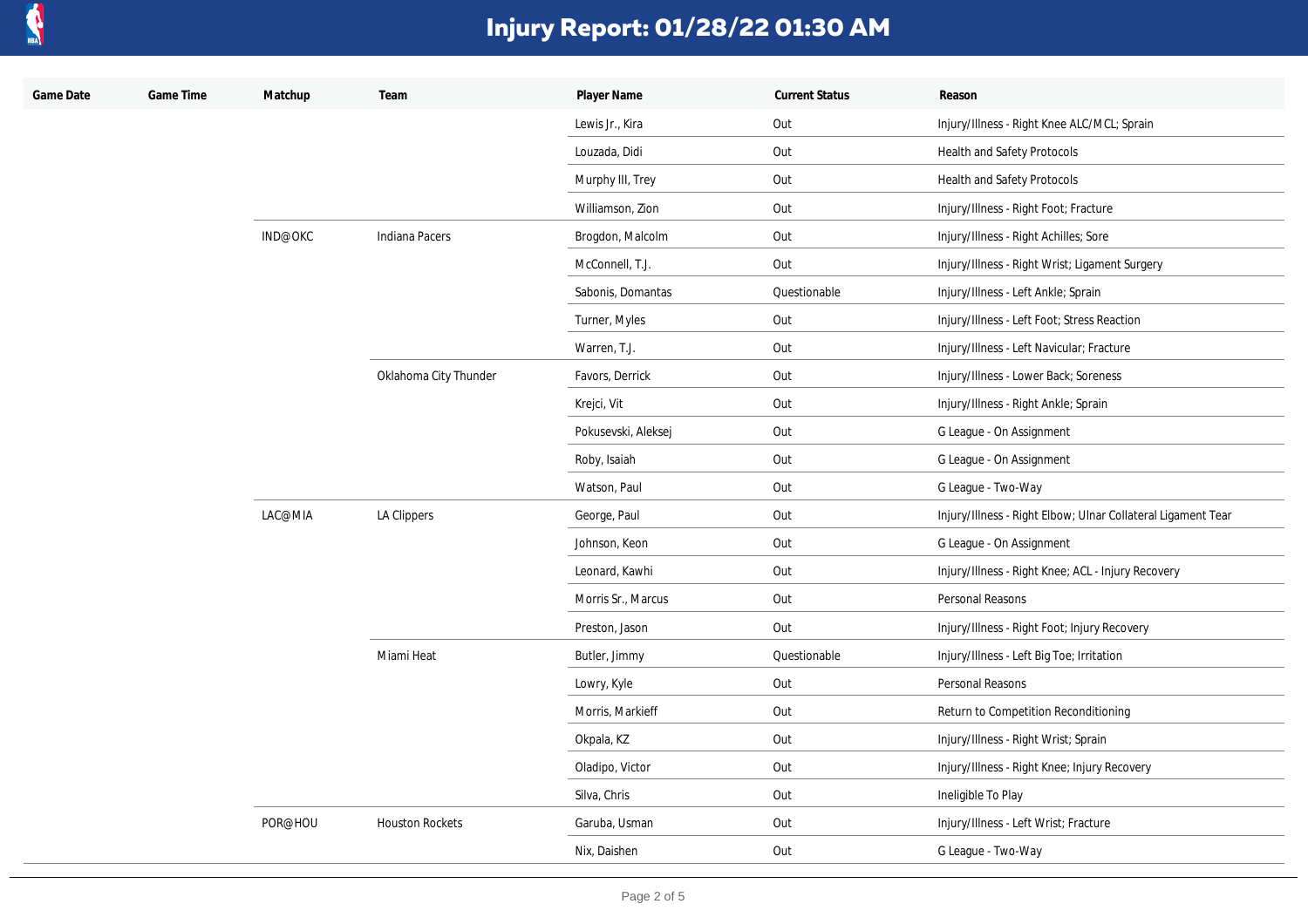

| Game Date | Game Time | Matchup | Team                   | Player Name         | <b>Current Status</b> | Reason                                                       |
|-----------|-----------|---------|------------------------|---------------------|-----------------------|--------------------------------------------------------------|
|           |           |         |                        | Lewis Jr., Kira     | Out                   | Injury/Illness - Right Knee ALC/MCL; Sprain                  |
|           |           |         |                        | Louzada, Didi       | Out                   | <b>Health and Safety Protocols</b>                           |
|           |           |         |                        | Murphy III, Trey    | Out                   | Health and Safety Protocols                                  |
|           |           |         |                        | Williamson, Zion    | Out                   | Injury/Illness - Right Foot; Fracture                        |
|           |           | IND@OKC | Indiana Pacers         | Brogdon, Malcolm    | Out                   | Injury/Illness - Right Achilles; Sore                        |
|           |           |         |                        | McConnell, T.J.     | Out                   | Injury/Illness - Right Wrist; Ligament Surgery               |
|           |           |         |                        | Sabonis, Domantas   | Questionable          | Injury/Illness - Left Ankle; Sprain                          |
|           |           |         |                        | Turner, Myles       | Out                   | Injury/Illness - Left Foot; Stress Reaction                  |
|           |           |         |                        | Warren, T.J.        | Out                   | Injury/Illness - Left Navicular; Fracture                    |
|           |           |         | Oklahoma City Thunder  | Favors, Derrick     | Out                   | Injury/Illness - Lower Back; Soreness                        |
|           |           |         |                        | Krejci, Vit         | Out                   | Injury/Illness - Right Ankle; Sprain                         |
|           |           |         |                        | Pokusevski, Aleksej | Out                   | G League - On Assignment                                     |
|           |           |         |                        | Roby, Isaiah        | Out                   | G League - On Assignment                                     |
|           |           |         |                        | Watson, Paul        | Out                   | G League - Two-Way                                           |
|           |           | LAC@MIA | LA Clippers            | George, Paul        | Out                   | Injury/Illness - Right Elbow; Ulnar Collateral Ligament Tear |
|           |           |         |                        | Johnson, Keon       | Out                   | G League - On Assignment                                     |
|           |           |         |                        | Leonard, Kawhi      | Out                   | Injury/Illness - Right Knee; ACL - Injury Recovery           |
|           |           |         |                        | Morris Sr., Marcus  | Out                   | Personal Reasons                                             |
|           |           |         |                        | Preston, Jason      | Out                   | Injury/Illness - Right Foot; Injury Recovery                 |
|           |           |         | Miami Heat             | Butler, Jimmy       | Questionable          | Injury/Illness - Left Big Toe; Irritation                    |
|           |           |         |                        | Lowry, Kyle         | Out                   | Personal Reasons                                             |
|           |           |         |                        | Morris, Markieff    | Out                   | Return to Competition Reconditioning                         |
|           |           |         |                        | Okpala, KZ          | Out                   | Injury/Illness - Right Wrist; Sprain                         |
|           |           |         |                        | Oladipo, Victor     | Out                   | Injury/Illness - Right Knee; Injury Recovery                 |
|           |           |         |                        | Silva, Chris        | Out                   | Ineligible To Play                                           |
|           |           | POR@HOU | <b>Houston Rockets</b> | Garuba, Usman       | Out                   | Injury/Illness - Left Wrist; Fracture                        |
|           |           |         |                        | Nix, Daishen        | Out                   | G League - Two-Way                                           |
|           |           |         |                        |                     |                       |                                                              |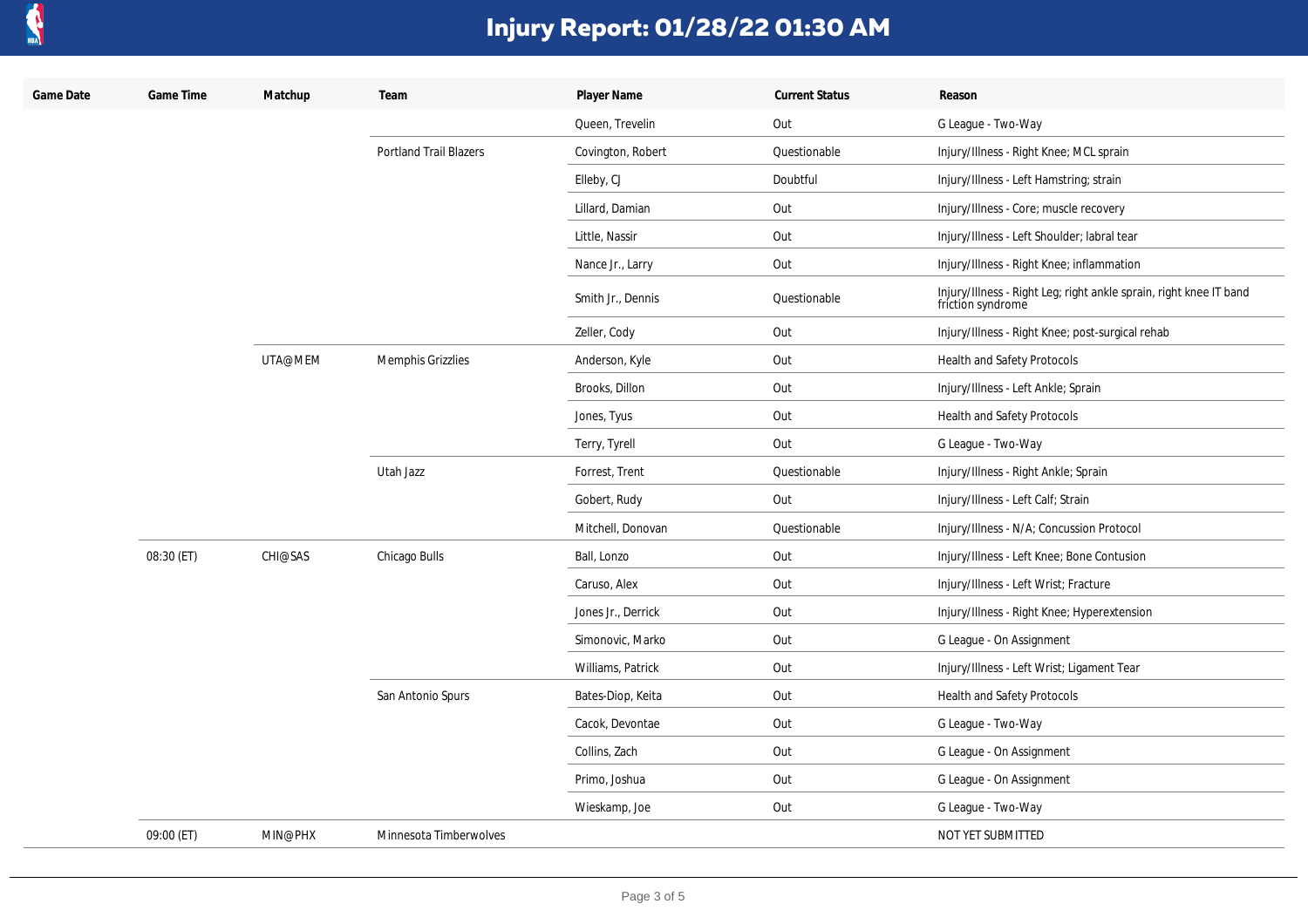

| Game Date | Game Time  | Matchup | Team                          | Player Name        | <b>Current Status</b> | Reason                                                                                  |
|-----------|------------|---------|-------------------------------|--------------------|-----------------------|-----------------------------------------------------------------------------------------|
|           |            |         |                               | Queen, Trevelin    | Out                   | G League - Two-Way                                                                      |
|           |            |         | <b>Portland Trail Blazers</b> | Covington, Robert  | Questionable          | Injury/Illness - Right Knee; MCL sprain                                                 |
|           |            |         |                               | Elleby, CJ         | Doubtful              | Injury/Illness - Left Hamstring; strain                                                 |
|           |            |         |                               | Lillard, Damian    | Out                   | Injury/Illness - Core; muscle recovery                                                  |
|           |            |         |                               | Little, Nassir     | Out                   | Injury/Illness - Left Shoulder; labral tear                                             |
|           |            |         |                               | Nance Jr., Larry   | Out                   | Injury/Illness - Right Knee; inflammation                                               |
|           |            |         |                               | Smith Jr., Dennis  | Questionable          | Injury/Illness - Right Leg; right ankle sprain, right knee IT band<br>friction syndrome |
|           |            |         |                               | Zeller, Cody       | Out                   | Injury/Illness - Right Knee; post-surgical rehab                                        |
|           |            | UTA@MEM | Memphis Grizzlies             | Anderson, Kyle     | Out                   | Health and Safety Protocols                                                             |
|           |            |         |                               | Brooks, Dillon     | Out                   | Injury/Illness - Left Ankle; Sprain                                                     |
|           |            |         |                               | Jones, Tyus        | Out                   | Health and Safety Protocols                                                             |
|           |            |         |                               | Terry, Tyrell      | Out                   | G League - Two-Way                                                                      |
|           |            |         | Utah Jazz                     | Forrest, Trent     | Questionable          | Injury/Illness - Right Ankle; Sprain                                                    |
|           |            |         |                               | Gobert, Rudy       | Out                   | Injury/Illness - Left Calf; Strain                                                      |
|           |            |         |                               | Mitchell, Donovan  | Questionable          | Injury/Illness - N/A; Concussion Protocol                                               |
|           | 08:30 (ET) | CHI@SAS | Chicago Bulls                 | Ball, Lonzo        | Out                   | Injury/Illness - Left Knee; Bone Contusion                                              |
|           |            |         |                               | Caruso, Alex       | Out                   | Injury/Illness - Left Wrist; Fracture                                                   |
|           |            |         |                               | Jones Jr., Derrick | Out                   | Injury/Illness - Right Knee; Hyperextension                                             |
|           |            |         |                               | Simonovic, Marko   | Out                   | G League - On Assignment                                                                |
|           |            |         |                               | Williams, Patrick  | Out                   | Injury/Illness - Left Wrist; Ligament Tear                                              |
|           |            |         | San Antonio Spurs             | Bates-Diop, Keita  | Out                   | Health and Safety Protocols                                                             |
|           |            |         |                               | Cacok, Devontae    | Out                   | G League - Two-Way                                                                      |
|           |            |         |                               | Collins, Zach      | Out                   | G League - On Assignment                                                                |
|           |            |         |                               | Primo, Joshua      | Out                   | G League - On Assignment                                                                |
|           |            |         |                               | Wieskamp, Joe      | Out                   | G League - Two-Way                                                                      |
|           | 09:00 (ET) | MIN@PHX | Minnesota Timberwolves        |                    |                       | NOT YET SUBMITTED                                                                       |
|           |            |         |                               |                    |                       |                                                                                         |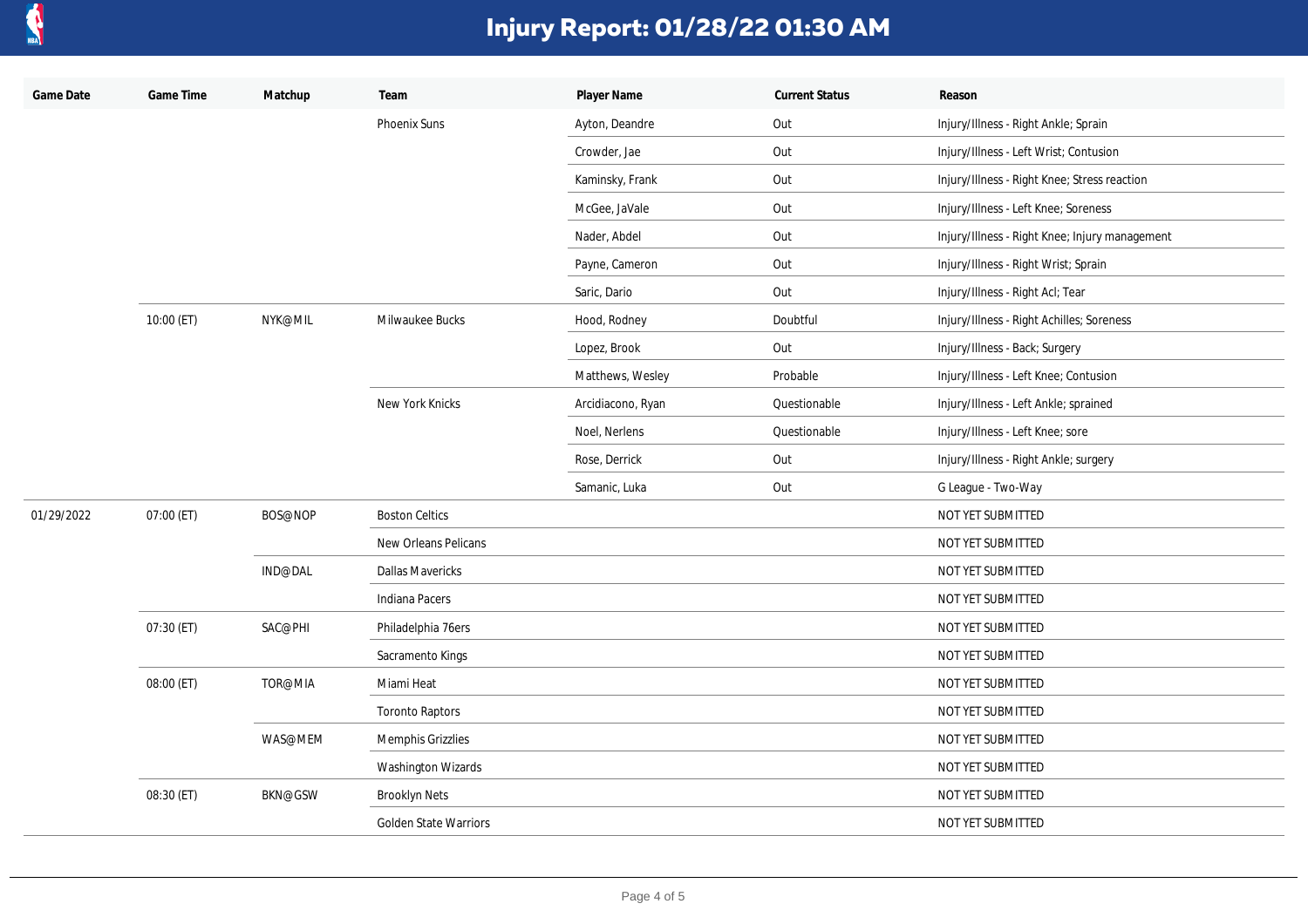

| Game Date  | Game Time  | Matchup        | Team                         | Player Name       | <b>Current Status</b>                                                                                                      | Reason                                         |
|------------|------------|----------------|------------------------------|-------------------|----------------------------------------------------------------------------------------------------------------------------|------------------------------------------------|
|            |            |                | <b>Phoenix Suns</b>          | Ayton, Deandre    | Out<br>Out<br>Out<br>Out<br>Out<br>Out<br>Out<br>Doubtful<br>Out<br>Probable<br>Questionable<br>Questionable<br>Out<br>Out | Injury/Illness - Right Ankle; Sprain           |
|            |            |                |                              | Crowder, Jae      |                                                                                                                            | Injury/Illness - Left Wrist; Contusion         |
|            |            |                |                              | Kaminsky, Frank   |                                                                                                                            | Injury/Illness - Right Knee; Stress reaction   |
|            |            |                |                              | McGee, JaVale     |                                                                                                                            | Injury/Illness - Left Knee; Soreness           |
|            |            |                |                              | Nader, Abdel      |                                                                                                                            | Injury/Illness - Right Knee; Injury management |
|            |            |                |                              | Payne, Cameron    |                                                                                                                            | Injury/Illness - Right Wrist; Sprain           |
|            |            |                |                              | Saric, Dario      |                                                                                                                            | Injury/Illness - Right Acl; Tear               |
|            | 10:00 (ET) | NYK@MIL        | Milwaukee Bucks              | Hood, Rodney      |                                                                                                                            | Injury/Illness - Right Achilles; Soreness      |
|            |            |                |                              | Lopez, Brook      |                                                                                                                            | Injury/Illness - Back; Surgery                 |
|            |            |                |                              | Matthews, Wesley  |                                                                                                                            | Injury/Illness - Left Knee; Contusion          |
|            |            |                | New York Knicks              | Arcidiacono, Ryan |                                                                                                                            | Injury/Illness - Left Ankle; sprained          |
|            |            |                |                              | Noel, Nerlens     |                                                                                                                            | Injury/Illness - Left Knee; sore               |
|            |            |                |                              | Rose, Derrick     |                                                                                                                            | Injury/Illness - Right Ankle; surgery          |
|            |            |                |                              | Samanic, Luka     |                                                                                                                            | G League - Two-Way                             |
| 01/29/2022 | 07:00 (ET) | BOS@NOP        | <b>Boston Celtics</b>        |                   |                                                                                                                            | NOT YET SUBMITTED                              |
|            |            |                | New Orleans Pelicans         |                   |                                                                                                                            | NOT YET SUBMITTED                              |
|            |            | IND@DAL        | <b>Dallas Mavericks</b>      |                   |                                                                                                                            | NOT YET SUBMITTED                              |
|            |            |                | Indiana Pacers               |                   |                                                                                                                            | NOT YET SUBMITTED                              |
|            | 07:30 (ET) | SAC@PHI        | Philadelphia 76ers           |                   |                                                                                                                            | NOT YET SUBMITTED                              |
|            |            |                | Sacramento Kings             |                   |                                                                                                                            | NOT YET SUBMITTED                              |
|            | 08:00 (ET) | TOR@MIA        | Miami Heat                   |                   |                                                                                                                            | NOT YET SUBMITTED                              |
|            |            |                | <b>Toronto Raptors</b>       |                   |                                                                                                                            | NOT YET SUBMITTED                              |
|            |            | WAS@MEM        | Memphis Grizzlies            |                   |                                                                                                                            | NOT YET SUBMITTED                              |
|            |            |                | Washington Wizards           |                   |                                                                                                                            | NOT YET SUBMITTED                              |
|            | 08:30 (ET) | <b>BKN@GSW</b> | <b>Brooklyn Nets</b>         |                   |                                                                                                                            | NOT YET SUBMITTED                              |
|            |            |                | <b>Golden State Warriors</b> |                   |                                                                                                                            | NOT YET SUBMITTED                              |
|            |            |                |                              |                   |                                                                                                                            |                                                |